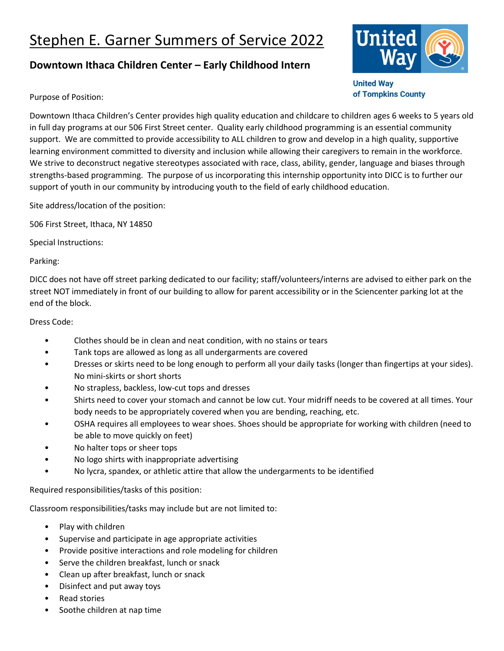## Stephen E. Garner Summers of Service 2022

## **Downtown Ithaca Children Center – Early Childhood Intern**



**United Way** of Tompkins County

Purpose of Position:

Downtown Ithaca Children's Center provides high quality education and childcare to children ages 6 weeks to 5 years old in full day programs at our 506 First Street center. Quality early childhood programming is an essential community support. We are committed to provide accessibility to ALL children to grow and develop in a high quality, supportive learning environment committed to diversity and inclusion while allowing their caregivers to remain in the workforce. We strive to deconstruct negative stereotypes associated with race, class, ability, gender, language and biases through strengths-based programming. The purpose of us incorporating this internship opportunity into DICC is to further our support of youth in our community by introducing youth to the field of early childhood education.

Site address/location of the position:

506 First Street, Ithaca, NY 14850

Special Instructions:

Parking:

DICC does not have off street parking dedicated to our facility; staff/volunteers/interns are advised to either park on the street NOT immediately in front of our building to allow for parent accessibility or in the Sciencenter parking lot at the end of the block.

Dress Code:

- Clothes should be in clean and neat condition, with no stains or tears
- Tank tops are allowed as long as all undergarments are covered
- Dresses or skirts need to be long enough to perform all your daily tasks (longer than fingertips at your sides). No mini-skirts or short shorts
- No strapless, backless, low-cut tops and dresses
- Shirts need to cover your stomach and cannot be low cut. Your midriff needs to be covered at all times. Your body needs to be appropriately covered when you are bending, reaching, etc.
- OSHA requires all employees to wear shoes. Shoes should be appropriate for working with children (need to be able to move quickly on feet)
- No halter tops or sheer tops
- No logo shirts with inappropriate advertising
- No lycra, spandex, or athletic attire that allow the undergarments to be identified

Required responsibilities/tasks of this position:

Classroom responsibilities/tasks may include but are not limited to:

- Play with children
- Supervise and participate in age appropriate activities
- Provide positive interactions and role modeling for children
- Serve the children breakfast, lunch or snack
- Clean up after breakfast, lunch or snack
- Disinfect and put away toys
- Read stories
- Soothe children at nap time